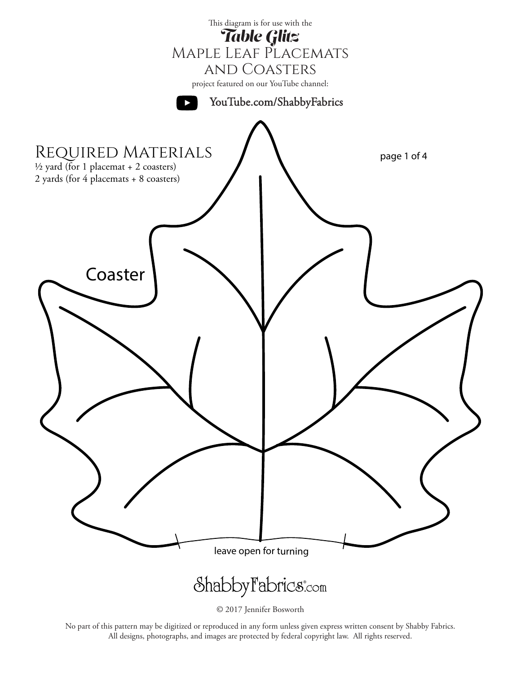

<sup>© 2017</sup> Jennifer Bosworth

No part of this pattern may be digitized or reproduced in any form unless given express written consent by Shabby Fabrics. All designs, photographs, and images are protected by federal copyright law. All rights reserved.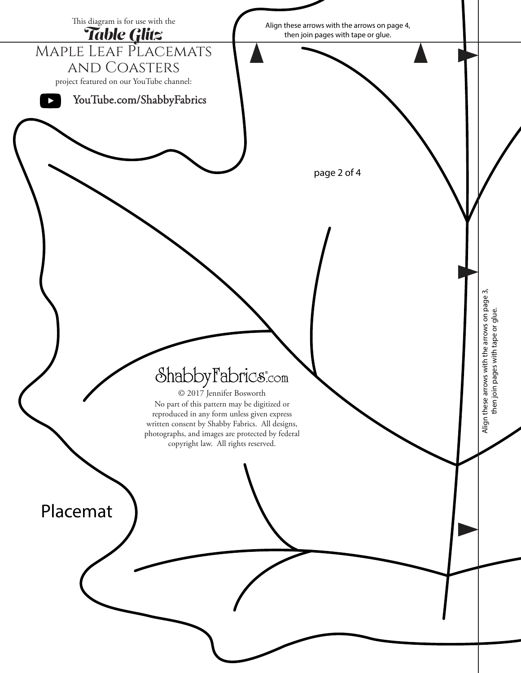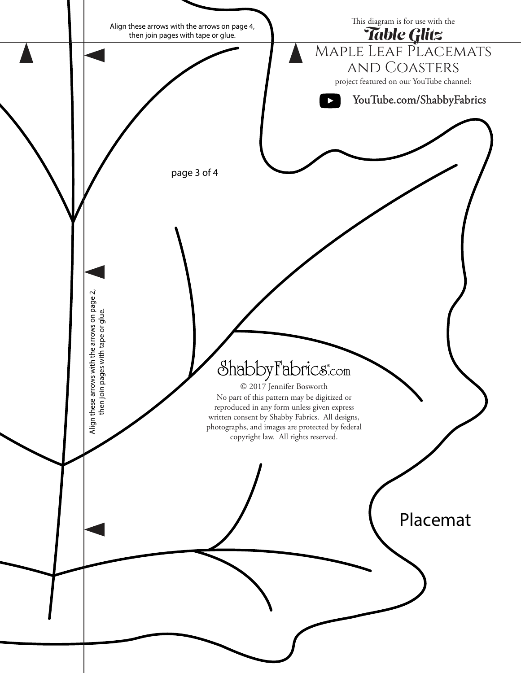